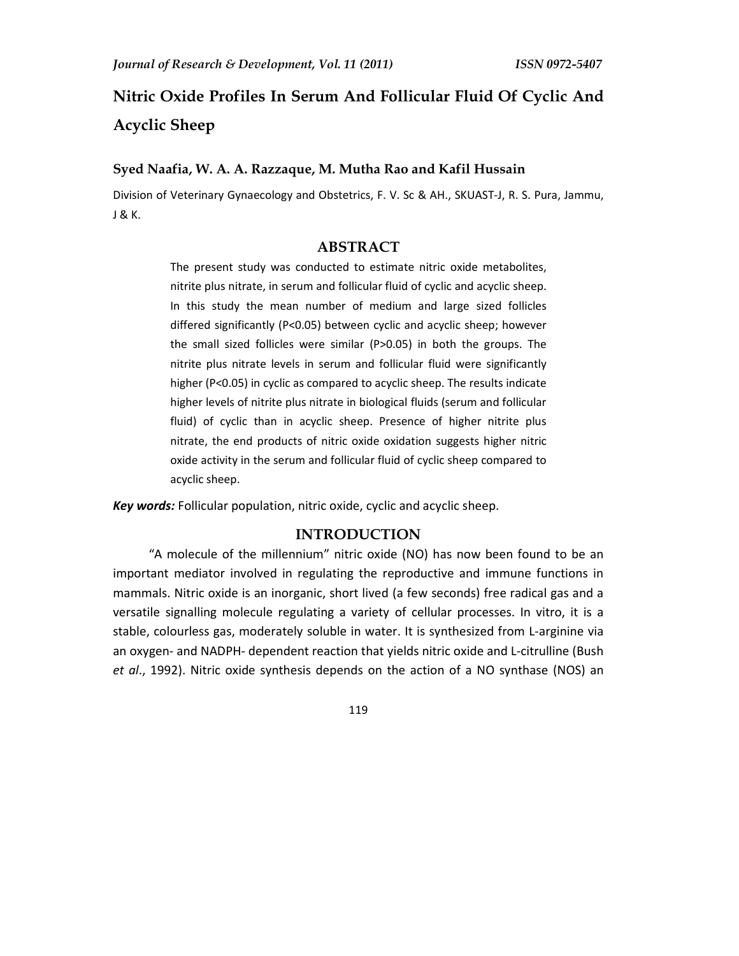# **Nitric Oxide Profiles In Serum And Follicular Fluid Of Cyclic And Acyclic Sheep**

### **Syed Naafia, W. A. A. Razzaque, M. Mutha Rao and Kafil Hussain**

Division of Veterinary Gynaecology and Obstetrics, F. V. Sc & AH., SKUAST-J, R. S. Pura, Jammu, J & K.

## **ABSTRACT**

The present study was conducted to estimate nitric oxide metabolites, nitrite plus nitrate, in serum and follicular fluid of cyclic and acyclic sheep. In this study the mean number of medium and large sized follicles differed significantly (P<0.05) between cyclic and acyclic sheep; however the small sized follicles were similar (P>0.05) in both the groups. The nitrite plus nitrate levels in serum and follicular fluid were significantly higher (P<0.05) in cyclic as compared to acyclic sheep. The results indicate higher levels of nitrite plus nitrate in biological fluids (serum and follicular fluid) of cyclic than in acyclic sheep. Presence of higher nitrite plus nitrate, the end products of nitric oxide oxidation suggests higher nitric oxide activity in the serum and follicular fluid of cyclic sheep compared to acyclic sheep.

*Key words:* Follicular population, nitric oxide, cyclic and acyclic sheep.

# **INTRODUCTION**

 "A molecule of the millennium" nitric oxide (NO) has now been found to be an important mediator involved in regulating the reproductive and immune functions in mammals. Nitric oxide is an inorganic, short lived (a few seconds) free radical gas and a versatile signalling molecule regulating a variety of cellular processes. In vitro, it is a stable, colourless gas, moderately soluble in water. It is synthesized from L-arginine via an oxygen- and NADPH- dependent reaction that yields nitric oxide and L-citrulline (Bush *et al*., 1992). Nitric oxide synthesis depends on the action of a NO synthase (NOS) an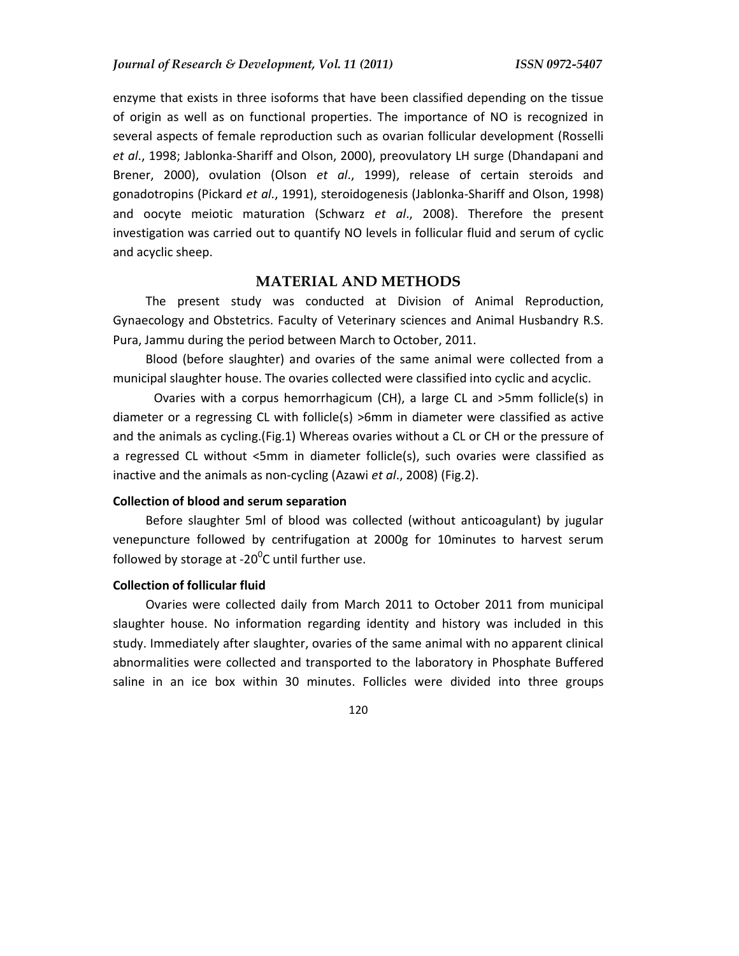enzyme that exists in three isoforms that have been classified depending on the tissue of origin as well as on functional properties. The importance of NO is recognized in several aspects of female reproduction such as ovarian follicular development (Rosselli *et al*., 1998; Jablonka-Shariff and Olson, 2000), preovulatory LH surge (Dhandapani and Brener, 2000), ovulation (Olson *et al*., 1999), release of certain steroids and gonadotropins (Pickard *et al*., 1991), steroidogenesis (Jablonka-Shariff and Olson, 1998) and oocyte meiotic maturation (Schwarz *et al*., 2008). Therefore the present investigation was carried out to quantify NO levels in follicular fluid and serum of cyclic and acyclic sheep.

# **MATERIAL AND METHODS**

The present study was conducted at Division of Animal Reproduction, Gynaecology and Obstetrics. Faculty of Veterinary sciences and Animal Husbandry R.S. Pura, Jammu during the period between March to October, 2011.

Blood (before slaughter) and ovaries of the same animal were collected from a municipal slaughter house. The ovaries collected were classified into cyclic and acyclic.

 Ovaries with a corpus hemorrhagicum (CH), a large CL and >5mm follicle(s) in diameter or a regressing CL with follicle(s) >6mm in diameter were classified as active and the animals as cycling.(Fig.1) Whereas ovaries without a CL or CH or the pressure of a regressed CL without <5mm in diameter follicle(s), such ovaries were classified as inactive and the animals as non-cycling (Azawi *et al*., 2008) (Fig.2).

#### **Collection of blood and serum separation**

Before slaughter 5ml of blood was collected (without anticoagulant) by jugular venepuncture followed by centrifugation at 2000g for 10minutes to harvest serum followed by storage at -20 $^0$ C until further use.

## **Collection of follicular fluid**

Ovaries were collected daily from March 2011 to October 2011 from municipal slaughter house. No information regarding identity and history was included in this study. Immediately after slaughter, ovaries of the same animal with no apparent clinical abnormalities were collected and transported to the laboratory in Phosphate Buffered saline in an ice box within 30 minutes. Follicles were divided into three groups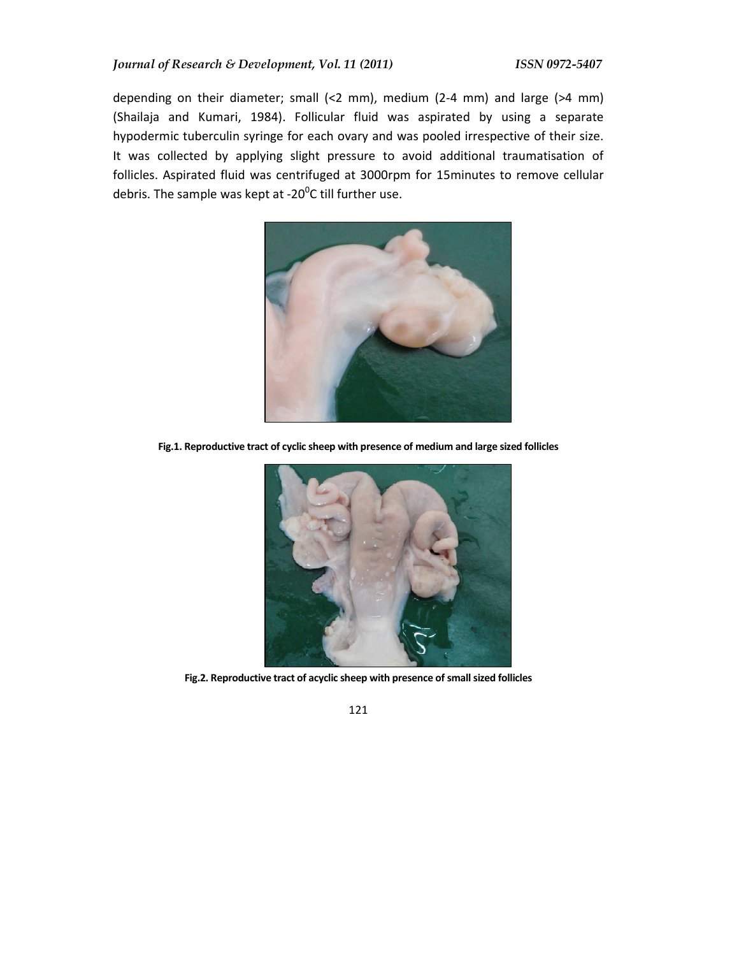depending on their diameter; small (<2 mm), medium (2-4 mm) and large (>4 mm) (Shailaja and Kumari, 1984). Follicular fluid was aspirated by using a separate hypodermic tuberculin syringe for each ovary and was pooled irrespective of their size. It was collected by applying slight pressure to avoid additional traumatisation of follicles. Aspirated fluid was centrifuged at 3000rpm for 15minutes to remove cellular debris. The sample was kept at -20 $\rm ^{0}$ C till further use.



**Fig.1. Reproductive tract of cyclic sheep with presence of medium and large sized follicles** 



**Fig.2. Reproductive tract of acyclic sheep with presence of small sized follicles**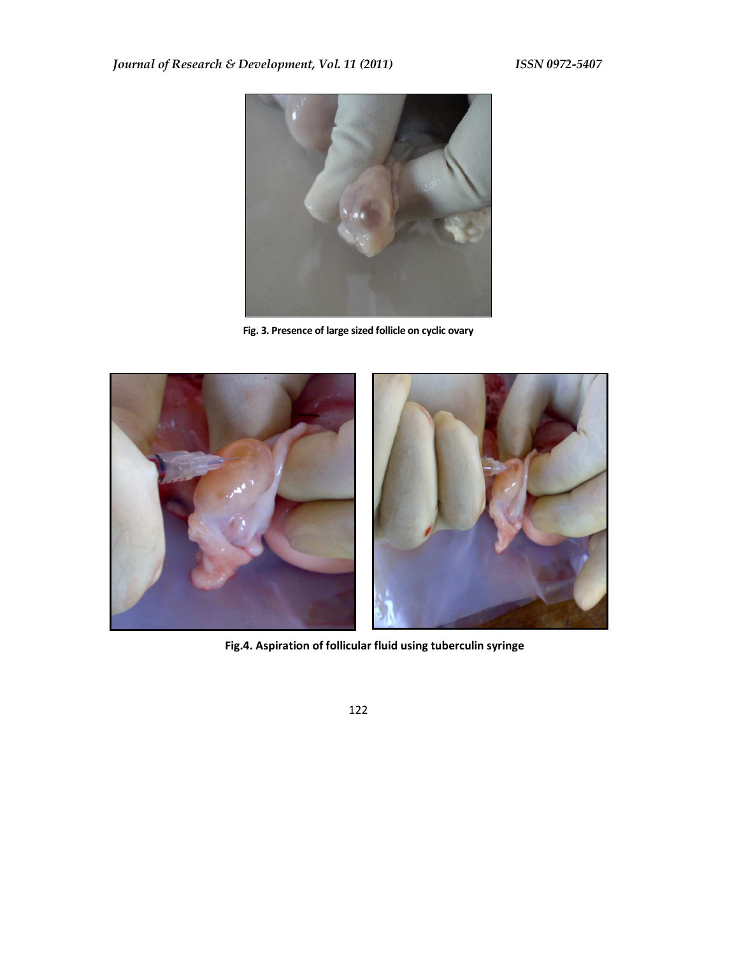

**Fig. 3. Presence of large sized follicle on cyclic ovary** 



**Fig.4. Aspiration of follicular fluid using tuberculin syringe**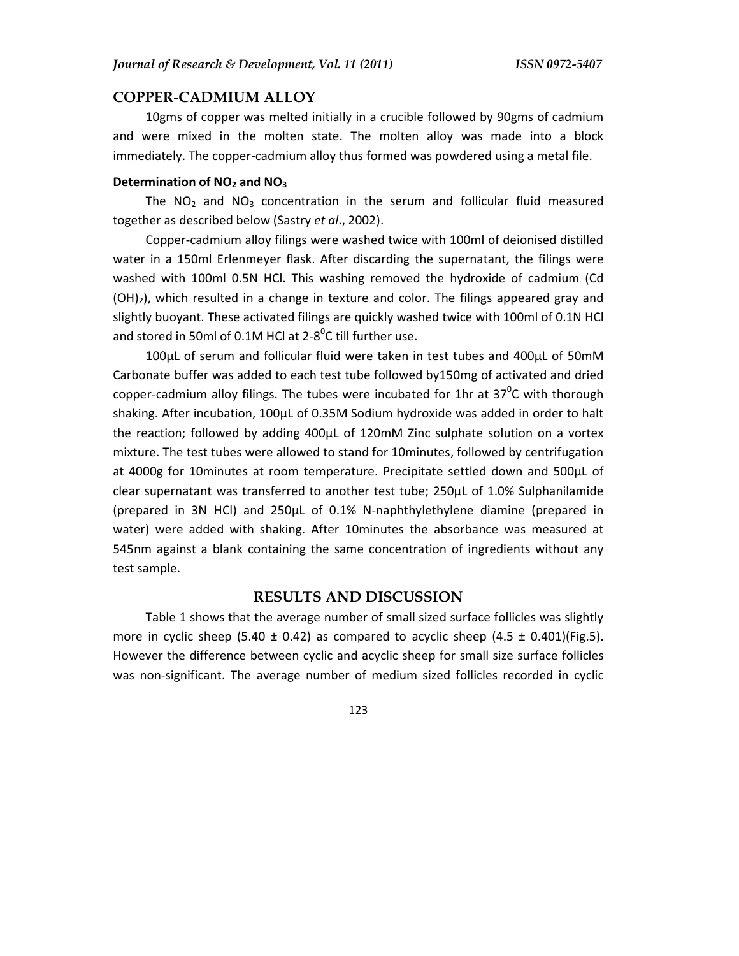#### **COPPER-CADMIUM ALLOY**

10gms of copper was melted initially in a crucible followed by 90gms of cadmium and were mixed in the molten state. The molten alloy was made into a block immediately. The copper-cadmium alloy thus formed was powdered using a metal file.

### **Determination of NO2 and NO<sup>3</sup>**

The  $NO<sub>2</sub>$  and  $NO<sub>3</sub>$  concentration in the serum and follicular fluid measured together as described below (Sastry *et al*., 2002).

Copper-cadmium alloy filings were washed twice with 100ml of deionised distilled water in a 150ml Erlenmeyer flask. After discarding the supernatant, the filings were washed with 100ml 0.5N HCl. This washing removed the hydroxide of cadmium (Cd  $(OH)_2$ ), which resulted in a change in texture and color. The filings appeared gray and slightly buoyant. These activated filings are quickly washed twice with 100ml of 0.1N HCl and stored in 50ml of 0.1M HCl at 2-8<sup>0</sup>C till further use.

100µL of serum and follicular fluid were taken in test tubes and 400µL of 50mM Carbonate buffer was added to each test tube followed by150mg of activated and dried copper-cadmium alloy filings. The tubes were incubated for 1hr at 37<sup>0</sup>C with thorough shaking. After incubation, 100µL of 0.35M Sodium hydroxide was added in order to halt the reaction; followed by adding 400µL of 120mM Zinc sulphate solution on a vortex mixture. The test tubes were allowed to stand for 10minutes, followed by centrifugation at 4000g for 10minutes at room temperature. Precipitate settled down and 500µL of clear supernatant was transferred to another test tube; 250µL of 1.0% Sulphanilamide (prepared in 3N HCl) and 250µL of 0.1% N-naphthylethylene diamine (prepared in water) were added with shaking. After 10minutes the absorbance was measured at 545nm against a blank containing the same concentration of ingredients without any test sample.

## **RESULTS AND DISCUSSION**

Table 1 shows that the average number of small sized surface follicles was slightly more in cyclic sheep (5.40  $\pm$  0.42) as compared to acyclic sheep (4.5  $\pm$  0.401)(Fig.5). However the difference between cyclic and acyclic sheep for small size surface follicles was non-significant. The average number of medium sized follicles recorded in cyclic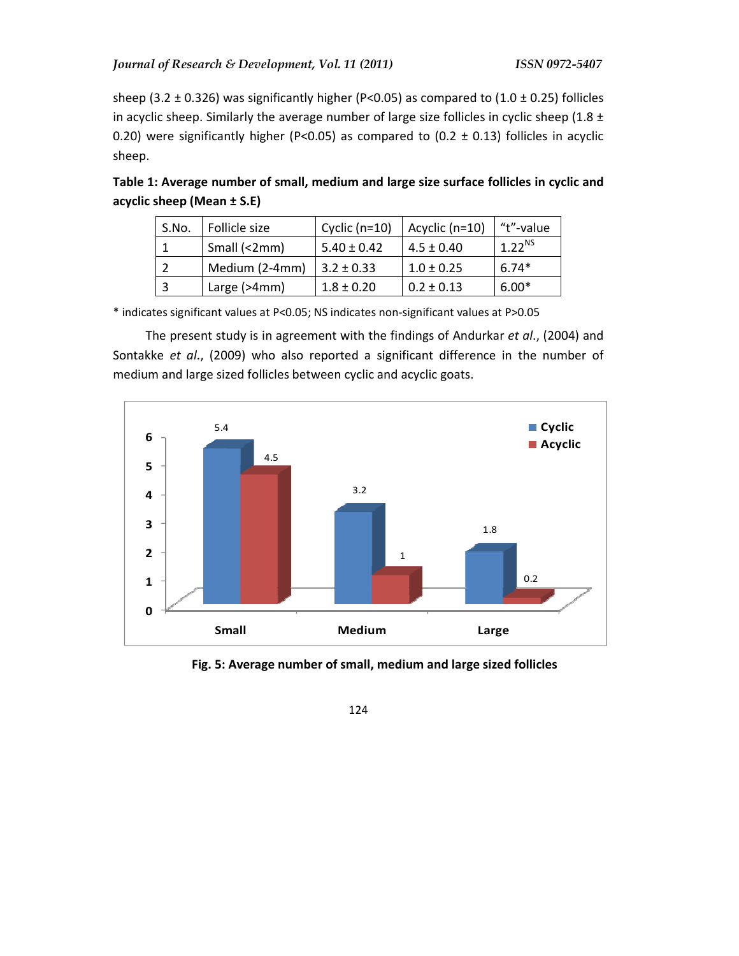sheep (3.2  $\pm$  0.326) was significantly higher (P<0.05) as compared to (1.0  $\pm$  0.25) follicles in acyclic sheep. Similarly the average number of large size follicles in cyclic sheep (1.8  $\pm$ 0.20) were significantly higher (P<0.05) as compared to (0.2  $\pm$  0.13) follicles in acyclic sheep.

| S.No. | Follicle size  | Cyclic $(n=10)$ | Acyclic (n=10) | "t"-value   |
|-------|----------------|-----------------|----------------|-------------|
|       | Small (<2mm)   | $5.40 \pm 0.42$ | $4.5 \pm 0.40$ | $1.22^{NS}$ |
|       | Medium (2-4mm) | $3.2 \pm 0.33$  | $1.0 \pm 0.25$ | $6.74*$     |
|       | Large (>4mm)   | $1.8 \pm 0.20$  | $0.2 \pm 0.13$ | $6.00*$     |

**Table 1: Average number of small, medium and large size surface follicles in cyclic and acyclic sheep (Mean ± S.E)** 

\* indicates significant values at P<0.05; NS indicates non-significant values at P>0.05

The present study is in agreement with the findings of Andurkar *et al*., (2004) and Sontakke *et al*., (2009) who also reported a significant difference in the number of medium and large sized follicles between cyclic and acyclic goats.



**Fig. 5: Average number of small, medium and large sized follicles**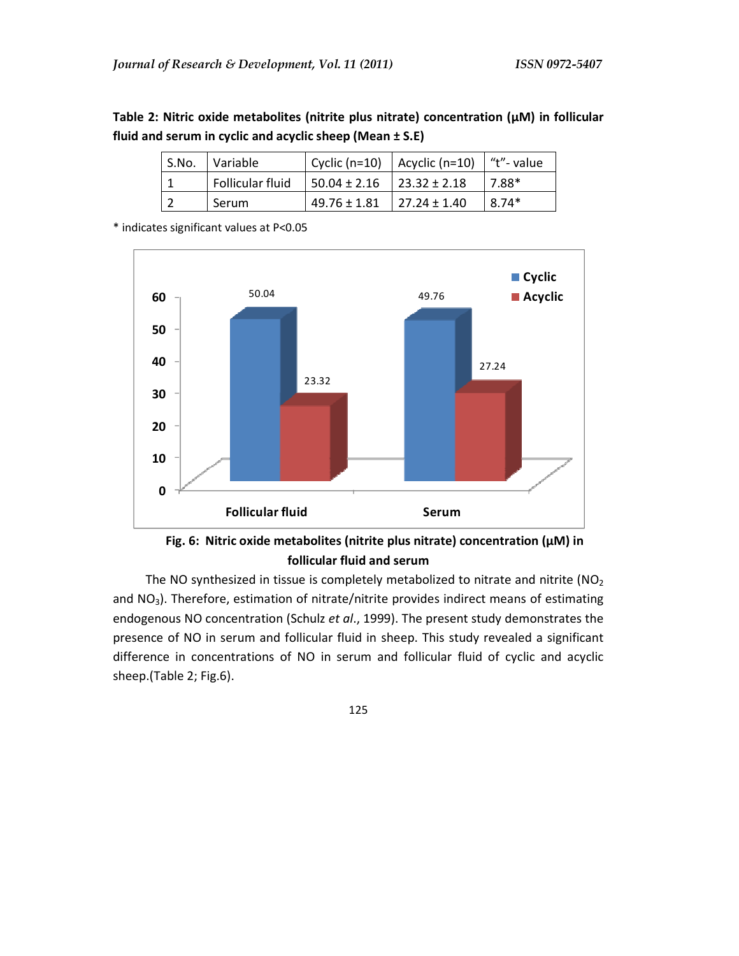| Table 2: Nitric oxide metabolites (nitrite plus nitrate) concentration ( $\mu$ M) in follicular |
|-------------------------------------------------------------------------------------------------|
| fluid and serum in cyclic and acyclic sheep (Mean $\pm$ S.E)                                    |

| S.No. Variable   |                                           | $\vert$ Cyclic (n=10) $\vert$ Acyclic (n=10) $\vert$ "t"- value |          |
|------------------|-------------------------------------------|-----------------------------------------------------------------|----------|
| Follicular fluid | $\vert$ 50.04 ± 2.16 $\vert$ 23.32 ± 2.18 |                                                                 | $17.88*$ |
| Serum            | $49.76 \pm 1.81$ 27.24 $\pm$ 1.40         |                                                                 | $18.74*$ |

\* indicates significant values at P<0.05



**Fig. 6: Nitric oxide metabolites (nitrite plus nitrate) concentration (µM) in follicular fluid and serum**

The NO synthesized in tissue is completely metabolized to nitrate and nitrite ( $NO<sub>2</sub>$ and NO<sub>3</sub>). Therefore, estimation of nitrate/nitrite provides indirect means of estimating endogenous NO concentration (Schulz *et al*., 1999). The present study demonstrates the presence of NO in serum and follicular fluid in sheep. This study revealed a significant difference in concentrations of NO in serum and follicular fluid of cyclic and acyclic sheep.(Table 2; Fig.6).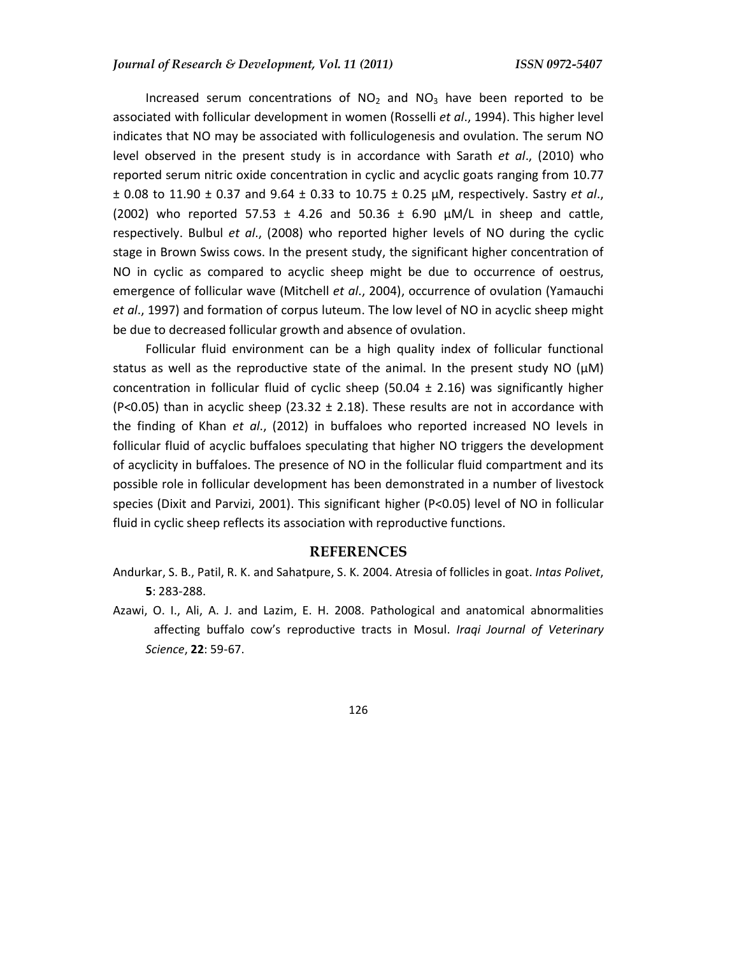Increased serum concentrations of  $NO<sub>2</sub>$  and  $NO<sub>3</sub>$  have been reported to be associated with follicular development in women (Rosselli *et al*., 1994). This higher level indicates that NO may be associated with folliculogenesis and ovulation. The serum NO level observed in the present study is in accordance with Sarath *et al*., (2010) who reported serum nitric oxide concentration in cyclic and acyclic goats ranging from 10.77 ± 0.08 to 11.90 ± 0.37 and 9.64 ± 0.33 to 10.75 ± 0.25 µM, respectively. Sastry *et al*., (2002) who reported 57.53  $\pm$  4.26 and 50.36  $\pm$  6.90  $\mu$ M/L in sheep and cattle, respectively. Bulbul *et al*., (2008) who reported higher levels of NO during the cyclic stage in Brown Swiss cows. In the present study, the significant higher concentration of NO in cyclic as compared to acyclic sheep might be due to occurrence of oestrus, emergence of follicular wave (Mitchell *et al*., 2004), occurrence of ovulation (Yamauchi *et al*., 1997) and formation of corpus luteum. The low level of NO in acyclic sheep might be due to decreased follicular growth and absence of ovulation.

Follicular fluid environment can be a high quality index of follicular functional status as well as the reproductive state of the animal. In the present study NO ( $\mu$ M) concentration in follicular fluid of cyclic sheep (50.04  $\pm$  2.16) was significantly higher (P<0.05) than in acyclic sheep (23.32  $\pm$  2.18). These results are not in accordance with the finding of Khan *et al*., (2012) in buffaloes who reported increased NO levels in follicular fluid of acyclic buffaloes speculating that higher NO triggers the development of acyclicity in buffaloes. The presence of NO in the follicular fluid compartment and its possible role in follicular development has been demonstrated in a number of livestock species (Dixit and Parvizi, 2001). This significant higher (P<0.05) level of NO in follicular fluid in cyclic sheep reflects its association with reproductive functions.

## **REFERENCES**

- Andurkar, S. B., Patil, R. K. and Sahatpure, S. K. 2004. Atresia of follicles in goat. *Intas Polivet*, **5**: 283-288.
- Azawi, O. I., Ali, A. J. and Lazim, E. H. 2008. Pathological and anatomical abnormalities affecting buffalo cow's reproductive tracts in Mosul. *Iraqi Journal of Veterinary Science*, **22**: 59-67.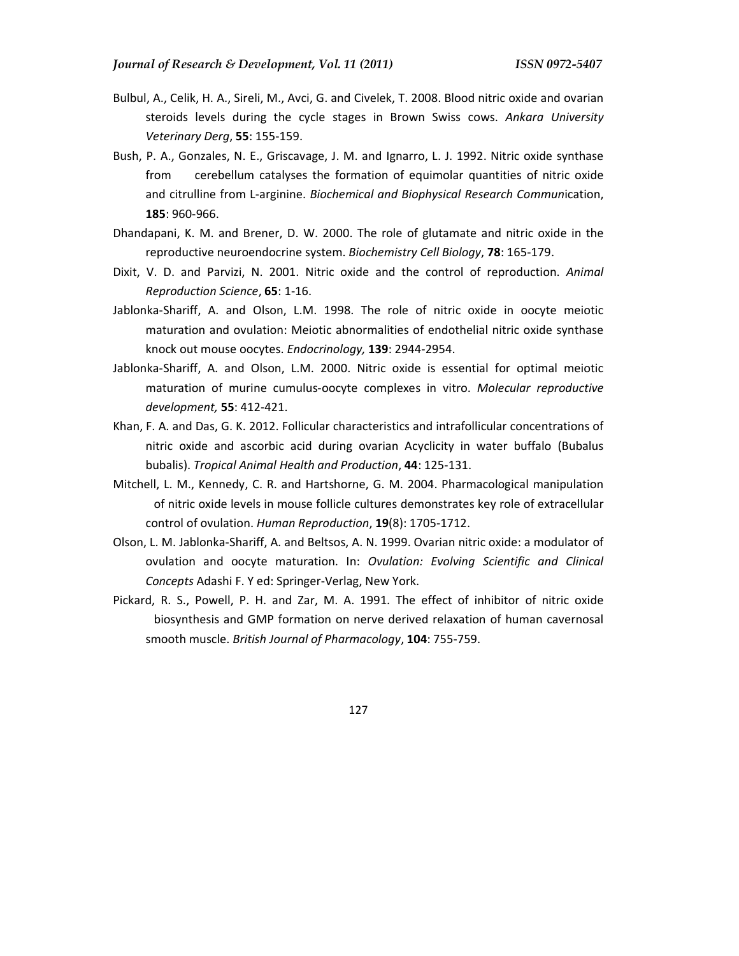- Bulbul, A., Celik, H. A., Sireli, M., Avci, G. and Civelek, T. 2008. Blood nitric oxide and ovarian steroids levels during the cycle stages in Brown Swiss cows. *Ankara University Veterinary Derg*, **55**: 155-159.
- Bush, P. A., Gonzales, N. E., Griscavage, J. M. and Ignarro, L. J. 1992. Nitric oxide synthase from cerebellum catalyses the formation of equimolar quantities of nitric oxide and citrulline from L-arginine. *Biochemical and Biophysical Research Commun*ication, **185**: 960-966.
- Dhandapani, K. M. and Brener, D. W. 2000. The role of glutamate and nitric oxide in the reproductive neuroendocrine system. *Biochemistry Cell Biology*, **78**: 165-179.
- Dixit, V. D. and Parvizi, N. 2001. Nitric oxide and the control of reproduction. *Animal Reproduction Science*, **65**: 1-16.
- Jablonka-Shariff, A. and Olson, L.M. 1998. The role of nitric oxide in oocyte meiotic maturation and ovulation: Meiotic abnormalities of endothelial nitric oxide synthase knock out mouse oocytes. *Endocrinology,* **139**: 2944-2954.
- Jablonka-Shariff, A. and Olson, L.M. 2000. Nitric oxide is essential for optimal meiotic maturation of murine cumulus-oocyte complexes in vitro. *Molecular reproductive development,* **55**: 412-421.
- Khan, F. A. and Das, G. K. 2012. Follicular characteristics and intrafollicular concentrations of nitric oxide and ascorbic acid during ovarian Acyclicity in water buffalo (Bubalus bubalis). *Tropical Animal Health and Production*, **44**: 125-131.
- Mitchell, L. M., Kennedy, C. R. and Hartshorne, G. M. 2004. Pharmacological manipulation of nitric oxide levels in mouse follicle cultures demonstrates key role of extracellular control of ovulation. *Human Reproduction*, **19**(8): 1705-1712.
- Olson, L. M. Jablonka-Shariff, A. and Beltsos, A. N. 1999. Ovarian nitric oxide: a modulator of ovulation and oocyte maturation. In: *Ovulation: Evolving Scientific and Clinical Concepts* Adashi F. Y ed: Springer-Verlag, New York.
- Pickard, R. S., Powell, P. H. and Zar, M. A. 1991. The effect of inhibitor of nitric oxide biosynthesis and GMP formation on nerve derived relaxation of human cavernosal smooth muscle. *British Journal of Pharmacology*, **104**: 755-759.